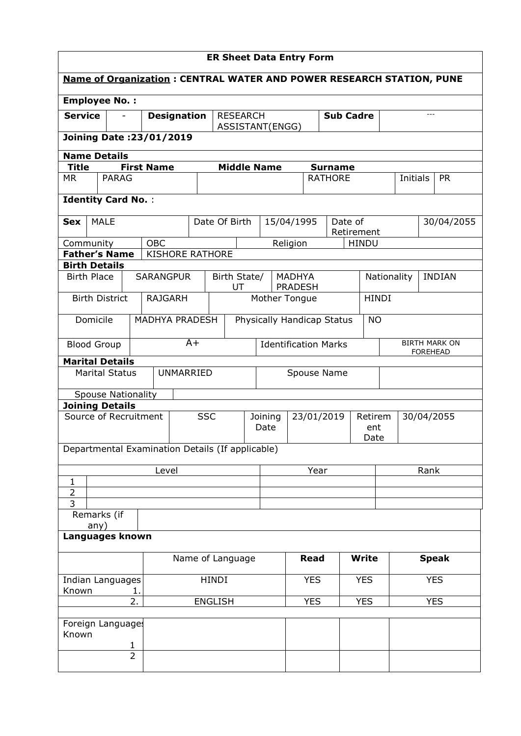| <b>ER Sheet Data Entry Form</b>                  |                                                    |                           |      |                                                                             |                             |               |                     |                    |                                     |            |                |                 |                      |            |  |               |
|--------------------------------------------------|----------------------------------------------------|---------------------------|------|-----------------------------------------------------------------------------|-----------------------------|---------------|---------------------|--------------------|-------------------------------------|------------|----------------|-----------------|----------------------|------------|--|---------------|
|                                                  |                                                    |                           |      | <b>Name of Organization: CENTRAL WATER AND POWER RESEARCH STATION, PUNE</b> |                             |               |                     |                    |                                     |            |                |                 |                      |            |  |               |
| <b>Employee No.:</b>                             |                                                    |                           |      |                                                                             |                             |               |                     |                    |                                     |            |                |                 |                      |            |  |               |
| <b>Service</b>                                   |                                                    |                           |      | <b>Designation</b>                                                          |                             |               | <b>RESEARCH</b>     |                    | <b>Sub Cadre</b>                    |            |                |                 |                      | $---$      |  |               |
|                                                  | ASSISTANT(ENGG)<br><b>Joining Date: 23/01/2019</b> |                           |      |                                                                             |                             |               |                     |                    |                                     |            |                |                 |                      |            |  |               |
| <b>Name Details</b>                              |                                                    |                           |      |                                                                             |                             |               |                     |                    |                                     |            |                |                 |                      |            |  |               |
| <b>Title</b>                                     |                                                    |                           |      | <b>First Name</b>                                                           |                             |               |                     | <b>Middle Name</b> |                                     |            | <b>Surname</b> |                 |                      |            |  |               |
| <b>MR</b>                                        |                                                    | <b>PARAG</b>              |      |                                                                             |                             |               |                     |                    |                                     |            | <b>RATHORE</b> |                 |                      | Initials   |  | <b>PR</b>     |
|                                                  | <b>Identity Card No.:</b>                          |                           |      |                                                                             |                             |               |                     |                    |                                     |            |                |                 |                      |            |  |               |
| <b>Sex</b>                                       | <b>MALE</b>                                        |                           |      |                                                                             |                             | Date Of Birth |                     |                    | 15/04/1995<br>Date of<br>Retirement |            |                |                 |                      | 30/04/2055 |  |               |
| Community                                        |                                                    |                           |      | <b>OBC</b>                                                                  |                             |               |                     |                    | Religion                            |            |                | <b>HINDU</b>    |                      |            |  |               |
| <b>Father's Name</b>                             |                                                    |                           |      | <b>KISHORE RATHORE</b>                                                      |                             |               |                     |                    |                                     |            |                |                 |                      |            |  |               |
| <b>Birth Details</b>                             |                                                    |                           |      |                                                                             |                             |               |                     |                    |                                     |            |                |                 |                      |            |  |               |
| <b>Birth Place</b>                               |                                                    |                           |      | <b>SARANGPUR</b>                                                            |                             | Birth State/  | UT                  |                    | <b>MADHYA</b><br><b>PRADESH</b>     |            |                |                 | Nationality          |            |  | <b>INDIAN</b> |
|                                                  |                                                    | <b>Birth District</b>     |      | <b>RAJGARH</b>                                                              |                             |               |                     | Mother Tongue      |                                     |            |                |                 | <b>HINDI</b>         |            |  |               |
| <b>MADHYA PRADESH</b><br>Domicile                |                                                    |                           |      |                                                                             | Physically Handicap Status  |               |                     |                    |                                     | <b>NO</b>  |                |                 |                      |            |  |               |
| <b>Blood Group</b>                               |                                                    |                           | $A+$ |                                                                             | <b>Identification Marks</b> |               |                     |                    |                                     |            |                | <b>FOREHEAD</b> | <b>BIRTH MARK ON</b> |            |  |               |
| <b>Marital Details</b>                           |                                                    |                           |      |                                                                             |                             |               |                     |                    |                                     |            |                |                 |                      |            |  |               |
|                                                  |                                                    | <b>Marital Status</b>     |      | <b>UNMARRIED</b>                                                            |                             | Spouse Name   |                     |                    |                                     |            |                |                 |                      |            |  |               |
|                                                  |                                                    | <b>Spouse Nationality</b> |      |                                                                             |                             |               |                     |                    |                                     |            |                |                 |                      |            |  |               |
| <b>Joining Details</b><br>Source of Recruitment  |                                                    |                           |      |                                                                             | <b>SSC</b>                  |               |                     | Joining            |                                     |            | 23/01/2019     |                 | Retirem              |            |  | 30/04/2055    |
|                                                  |                                                    |                           |      |                                                                             |                             |               | Date<br>ent<br>Date |                    |                                     |            |                |                 |                      |            |  |               |
| Departmental Examination Details (If applicable) |                                                    |                           |      |                                                                             |                             |               |                     |                    |                                     |            |                |                 |                      |            |  |               |
|                                                  |                                                    |                           |      | Level                                                                       |                             |               |                     | Year               |                                     |            |                |                 |                      | Rank       |  |               |
| 1<br>$\overline{2}$                              |                                                    |                           |      |                                                                             |                             |               |                     |                    |                                     |            |                |                 |                      |            |  |               |
| 3                                                |                                                    |                           |      |                                                                             |                             |               |                     |                    |                                     |            |                |                 |                      |            |  |               |
|                                                  | Remarks (if<br>any)                                |                           |      |                                                                             |                             |               |                     |                    |                                     |            |                |                 |                      |            |  |               |
| Languages known                                  |                                                    |                           |      |                                                                             |                             |               |                     |                    |                                     |            |                |                 |                      |            |  |               |
| Name of Language                                 |                                                    |                           |      |                                                                             | <b>Read</b>                 | <b>Write</b>  |                     |                    |                                     |            | <b>Speak</b>   |                 |                      |            |  |               |
| Indian Languages<br>Known<br>1.                  |                                                    |                           |      | HINDI                                                                       |                             |               |                     | <b>YES</b>         |                                     | <b>YES</b> |                |                 |                      | <b>YES</b> |  |               |
| 2.<br><b>ENGLISH</b>                             |                                                    |                           |      |                                                                             |                             | <b>YES</b>    |                     | <b>YES</b>         |                                     |            |                | <b>YES</b>      |                      |            |  |               |
| Foreign Language:                                |                                                    |                           |      |                                                                             |                             |               |                     |                    |                                     |            |                |                 |                      |            |  |               |
| Known                                            |                                                    |                           |      |                                                                             |                             |               |                     |                    |                                     |            |                |                 |                      |            |  |               |
|                                                  |                                                    | 1<br>$\overline{2}$       |      |                                                                             |                             |               |                     |                    |                                     |            |                |                 |                      |            |  |               |
|                                                  |                                                    |                           |      |                                                                             |                             |               |                     |                    |                                     |            |                |                 |                      |            |  |               |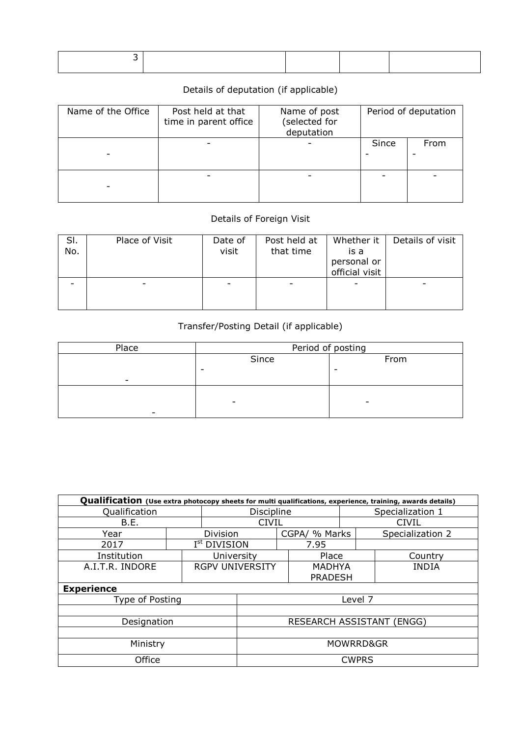## Details of deputation (if applicable)

| Name of the Office | Post held at that<br>time in parent office | Name of post<br>(selected for<br>deputation |       | Period of deputation |
|--------------------|--------------------------------------------|---------------------------------------------|-------|----------------------|
|                    |                                            |                                             | Since | From                 |
|                    |                                            |                                             |       |                      |

## Details of Foreign Visit

| SI.<br>No. | Place of Visit | Date of<br>visit | Post held at<br>that time | Whether it<br>is a<br>personal or<br>official visit | Details of visit |
|------------|----------------|------------------|---------------------------|-----------------------------------------------------|------------------|
|            |                |                  |                           |                                                     |                  |

## Transfer/Posting Detail (if applicable)

| Place                    | Period of posting        |      |  |  |  |  |
|--------------------------|--------------------------|------|--|--|--|--|
|                          | Since                    | From |  |  |  |  |
|                          | -                        | -    |  |  |  |  |
| $\overline{\phantom{0}}$ |                          |      |  |  |  |  |
|                          |                          |      |  |  |  |  |
|                          | $\overline{\phantom{0}}$ | -    |  |  |  |  |
|                          |                          |      |  |  |  |  |

| Qualification (Use extra photocopy sheets for multi qualifications, experience, training, awards details) |                           |                          |         |  |                |       |                  |  |  |
|-----------------------------------------------------------------------------------------------------------|---------------------------|--------------------------|---------|--|----------------|-------|------------------|--|--|
| Qualification                                                                                             | <b>Discipline</b>         | Specialization 1         |         |  |                |       |                  |  |  |
| B.E.                                                                                                      | <b>CIVIL</b>              |                          |         |  |                | CIVIL |                  |  |  |
| Year                                                                                                      |                           | <b>Division</b>          |         |  | CGPA/ % Marks  |       | Specialization 2 |  |  |
| 2017                                                                                                      |                           | I <sup>st</sup> DIVISION |         |  | 7.95           |       |                  |  |  |
| Institution                                                                                               |                           | University               |         |  | Place          |       | Country          |  |  |
| A.I.T.R. INDORE                                                                                           |                           | <b>RGPV UNIVERSITY</b>   |         |  | <b>MADHYA</b>  |       | <b>INDIA</b>     |  |  |
|                                                                                                           |                           |                          |         |  | <b>PRADESH</b> |       |                  |  |  |
| <b>Experience</b>                                                                                         |                           |                          |         |  |                |       |                  |  |  |
| Type of Posting                                                                                           |                           |                          | Level 7 |  |                |       |                  |  |  |
|                                                                                                           |                           |                          |         |  |                |       |                  |  |  |
| Designation                                                                                               | RESEARCH ASSISTANT (ENGG) |                          |         |  |                |       |                  |  |  |
|                                                                                                           |                           |                          |         |  |                |       |                  |  |  |
| Ministry                                                                                                  | MOWRRD&GR                 |                          |         |  |                |       |                  |  |  |
| Office                                                                                                    | <b>CWPRS</b>              |                          |         |  |                |       |                  |  |  |